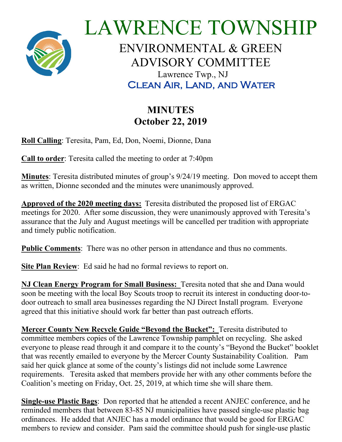

LAWRENCE TOWNSHIP ENVIRONMENTAL & GREEN ADVISORY COMMITTEE Lawrence Twp., NJ Clean Air, Land, and Water

## **MINUTES October 22, 2019**

**Roll Calling**: Teresita, Pam, Ed, Don, Noemi, Dionne, Dana

**Call to order**: Teresita called the meeting to order at 7:40pm

**Minutes**: Teresita distributed minutes of group's 9/24/19 meeting. Don moved to accept them as written, Dionne seconded and the minutes were unanimously approved.

**Approved of the 2020 meeting days:** Teresita distributed the proposed list of ERGAC meetings for 2020. After some discussion, they were unanimously approved with Teresita's assurance that the July and August meetings will be cancelled per tradition with appropriate and timely public notification.

**Public Comments**: There was no other person in attendance and thus no comments.

**Site Plan Review**: Ed said he had no formal reviews to report on.

**NJ Clean Energy Program for Small Business:** Teresita noted that she and Dana would soon be meeting with the local Boy Scouts troop to recruit its interest in conducting door-todoor outreach to small area businesses regarding the NJ Direct Install program. Everyone agreed that this initiative should work far better than past outreach efforts.

**Mercer County New Recycle Guide "Beyond the Bucket":** Teresita distributed to committee members copies of the Lawrence Township pamphlet on recycling. She asked everyone to please read through it and compare it to the county's "Beyond the Bucket" booklet that was recently emailed to everyone by the Mercer County Sustainability Coalition. Pam said her quick glance at some of the county's listings did not include some Lawrence requirements. Teresita asked that members provide her with any other comments before the Coalition's meeting on Friday, Oct. 25, 2019, at which time she will share them.

**Single-use Plastic Bags**: Don reported that he attended a recent ANJEC conference, and he reminded members that between 83-85 NJ municipalities have passed single-use plastic bag ordinances. He added that ANJEC has a model ordinance that would be good for ERGAC members to review and consider. Pam said the committee should push for single-use plastic